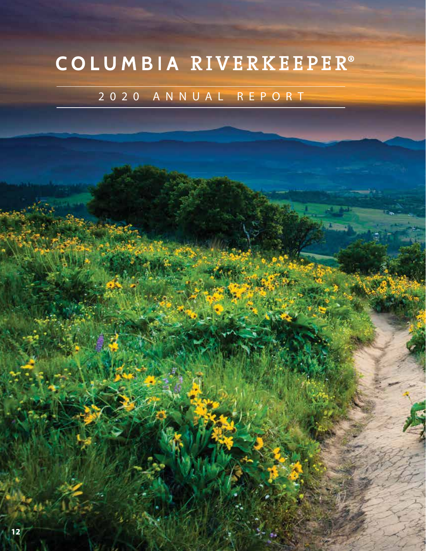## COLUMBIA RIVERKEEPER®

#### 2020 ANNUAL REPORT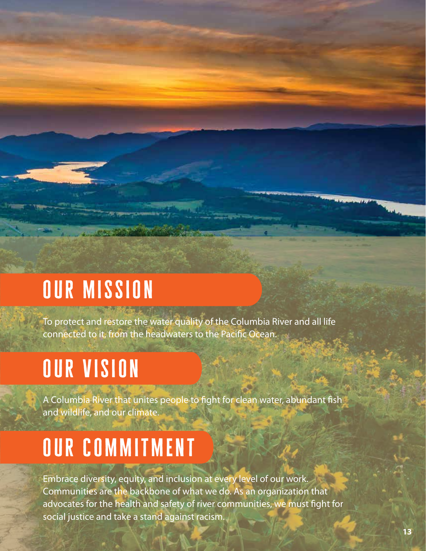# our mission

To protect and restore the water quality of the Columbia River and all life connected to it, from the headwaters to the Pacific Ocean.

## our vision

A Columbia River that unites people to fight for clean water, abundant fish and wildlife, and our climate.

# our commitment

Embrace diversity, equity, and inclusion at every level of our work. Communities are the backbone of what we do. As an organization that advocates for the health and safety of river communities, we must fight for social justice and take a stand against racism.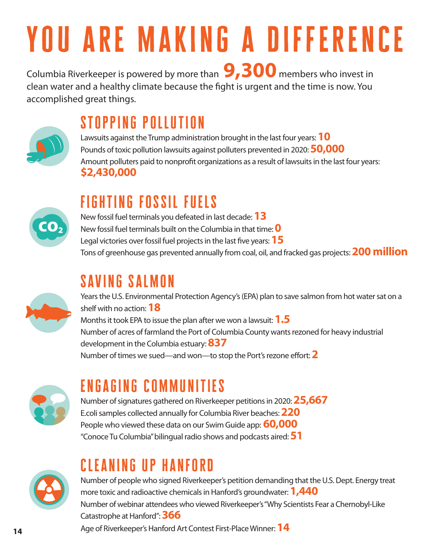# you are making a difference

Columbia Riverkeeper is powered by more than **9,300** members who invest in clean water and a healthy climate because the fight is urgent and the time is now. You accomplished great things.



### stopping pollution

Lawsuits against the Trump administration brought in the last four years:**10** Pounds of toxic pollution lawsuits against polluters prevented in 2020: **50,000** Amount polluters paid to nonprofit organizations as a result of lawsuits in the last four years: **\$2,430,000**



## fighting fossil fuels

New fossil fuel terminals you defeated in last decade: **13** New fossil fuel terminals built on the Columbia in that time: **0** Legal victories over fossil fuel projects in the last five years: **15** Tons of greenhouse gas prevented annually from coal, oil, and fracked gas projects: **200 million**

### saving salmon



Years the U.S. Environmental Protection Agency's (EPA) plan to save salmon from hot water sat on a shelf with no action: **18** Months it took EPA to issue the plan after we won a lawsuit: **1.5**

Number of acres of farmland the Port of Columbia County wants rezoned for heavy industrial development in the Columbia estuary: **837**

Number of times we sued—and won—to stop the Port's rezone effort: **2**



### engaging communities

Number of signatures gathered on Riverkeeper petitions in 2020: **25,667** E.coli samples collected annually for Columbia River beaches:**220** People who viewed these data on our Swim Guide app: **60,000** "Conoce Tu Columbia" bilingual radio shows and podcasts aired: **51**



#### cleaning up hanford

Number of people who signed Riverkeeper's petition demanding that the U.S. Dept. Energy treat more toxic and radioactive chemicals in Hanford's groundwater: **1,440** Number of webinar attendees who viewed Riverkeeper's "Why Scientists Fear a Chernobyl-Like Catastrophe at Hanford": **366**

Age of Riverkeeper's Hanford Art Contest First-Place Winner: **14**